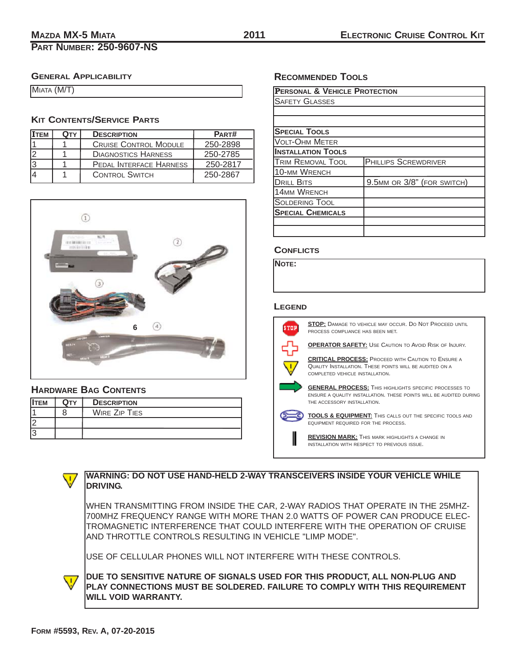# **PART NUMBER: 250-9607-NS**

# **ELECTRONIC CRUISE CONTROL KIT**

## **GENERAL APPLICABILITY**

| MIATA (M/T) |  |
|-------------|--|
|             |  |

## **KIT CONTENTS/SERVICE PARTS**

| <b>ITEM</b> | <b>QTY</b> | <b>DESCRIPTION</b>             | PART#    |
|-------------|------------|--------------------------------|----------|
|             |            | <b>CRUISE CONTROL MODULE</b>   | 250-2898 |
|             |            | <b>DIAGNOSTICS HARNESS</b>     | 250-2785 |
|             |            | <b>PEDAL INTERFACE HARNESS</b> | 250-2817 |
|             |            | <b>CONTROL SWITCH</b>          | 250-2867 |



## **HARDWARE BAG CONTENTS**

| <b>ITEM</b> | Оту | <b>DESCRIPTION</b>   |
|-------------|-----|----------------------|
|             |     | <b>WIRE ZIP TIES</b> |
| I2          |     |                      |
| IЗ          |     |                      |

# **RECOMMENDED TOOLS**

| <b>PERSONAL &amp; VEHICLE PROTECTION</b> |                             |  |  |
|------------------------------------------|-----------------------------|--|--|
| <b>SAFETY GLASSES</b>                    |                             |  |  |
|                                          |                             |  |  |
|                                          |                             |  |  |
| <b>SPECIAL TOOLS</b>                     |                             |  |  |
| VOLT-OHM METER                           |                             |  |  |
| <b>INSTALLATION TOOLS</b>                |                             |  |  |
| <b>TRIM REMOVAL TOOL</b>                 | <b>PHILLIPS SCREWDRIVER</b> |  |  |
| <b>10-MM WRENCH</b>                      |                             |  |  |
| <b>DRILL BITS</b>                        | 9.5MM OR 3/8" (FOR SWITCH)  |  |  |
| <b>14MM WRENCH</b>                       |                             |  |  |
| <b>SOLDERING TOOL</b>                    |                             |  |  |
| <b>SPECIAL CHEMICALS</b>                 |                             |  |  |
|                                          |                             |  |  |
|                                          |                             |  |  |

#### **CONFLICTS**

**NOTE:**

#### **LEGEND**



**STOP:** DAMAGE TO VEHICLE MAY OCCUR. DO NOT PROCEED UNTIL PROCESS COMPLIANCE HAS BEEN MET.

**OPERATOR SAFETY:** USE CAUTION TO AVOID RISK OF INJURY.

**CRITICAL PROCESS:** PROCEED WITH CAUTION TO ENSURE A QUALITY INSTALLATION. THESE POINTS WILL BE AUDITED ON A COMPLETED VEHICLE INSTALLATION.

**GENERAL PROCESS:** THIS HIGHLIGHTS SPECIFIC PROCESSES TO ENSURE A QUALITY INSTALLATION. THESE POINTS WILL BE AUDITED DURING THE ACCESSORY INSTALLATION.

**TOOLS & EQUIPMENT:** THIS CALLS OUT THE SPECIFIC TOOLS AND EQUIPMENT REQUIRED FOR THE PROCESS.

**REVISION MARK:** THIS MARK HIGHLIGHTS A CHANGE IN INSTALLATION WITH RESPECT TO PREVIOUS ISSUE.



 $\sqrt{1}$ 

### **WARNING: DO NOT USE HAND-HELD 2-WAY TRANSCEIVERS INSIDE YOUR VEHICLE WHILE DRIVING.**

WHEN TRANSMITTING FROM INSIDE THE CAR, 2-WAY RADIOS THAT OPERATE IN THE 25MHZ-700MHZ FREQUENCY RANGE WITH MORE THAN 2.0 WATTS OF POWER CAN PRODUCE ELEC-TROMAGNETIC INTERFERENCE THAT COULD INTERFERE WITH THE OPERATION OF CRUISE AND THROTTLE CONTROLS RESULTING IN VEHICLE "LIMP MODE".

USE OF CELLULAR PHONES WILL NOT INTERFERE WITH THESE CONTROLS.

**DUE TO SENSITIVE NATURE OF SIGNALS USED FOR THIS PRODUCT, ALL NON-PLUG AND PLAY CONNECTIONS MUST BE SOLDERED. FAILURE TO COMPLY WITH THIS REQUIREMENT WILL VOID WARRANTY.**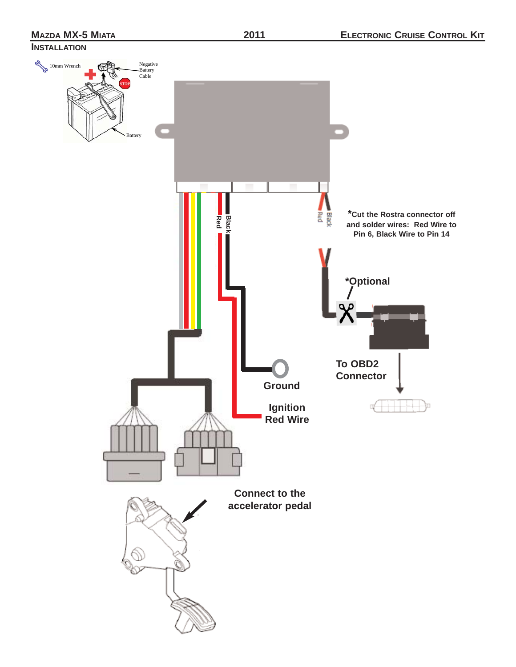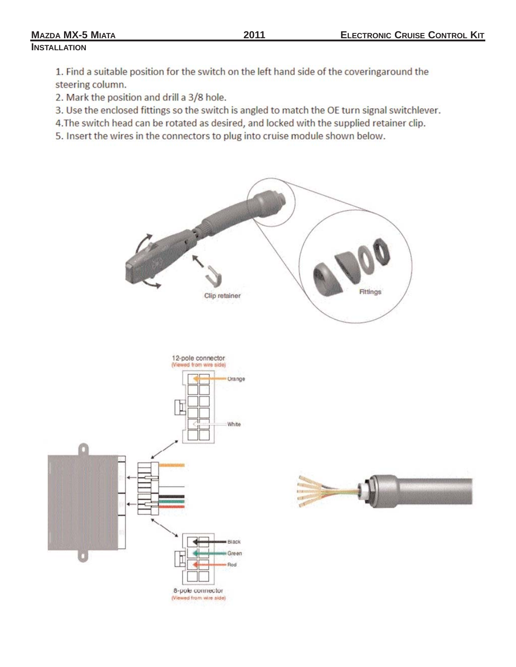## **MAZDA MX-5 MIATA 2011 INSTALLATION**

1. Find a suitable position for the switch on the left hand side of the coveringaround the steering column.

2. Mark the position and drill a 3/8 hole.

3. Use the enclosed fittings so the switch is angled to match the OE turn signal switchlever.

4. The switch head can be rotated as desired, and locked with the supplied retainer clip.

5. Insert the wires in the connectors to plug into cruise module shown below.